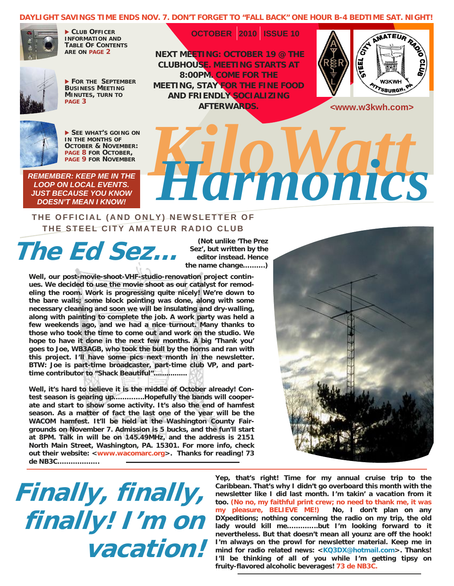#### **DAYLIGHT SAVINGS TIME ENDS NOV. 7. DON'T FORGET TO "FALL BACK" ONE HOUR B-4 BEDTIME SAT. NIGHT!**

 **OCTOBER 2010 ISSUE 10** 



 **CLUB OFFICER INFORMATION AND TABLE OF CONTENTS ARE ON [PAGE 2](#page-1-0)**



 **FOR THE SEPTEMBER BUSINESS MEETING MINUTES, TURN TO [PAGE 3](#page-2-0)** 

 **NEXT MEETING: OCTOBER 19 @ THE CLUBHOUSE. MEETING STARTS AT 8:00PM. COME FOR THE MEETING, STAY FOR THE FINE FOOD AND FRIENDLY SOCIALIZING AFTERWARDS.** 



**<www.w3kwh.com>** 



 **SEE WHAT'S GOING ON IN THE MONTHS OF OCTOBER & NOVEMBER:**<br>PAGE 8 FOR OCTOBER.

*REMEMBER: KEEP ME IN THE LOOP ON LOCAL EVENTS. JUST BECAUSE YOU KNOW DOESN'T MEAN I KNOW!*

# [PAGE 9](#page-8-0) FOR NOVEMBER<br>RILOCAL EVENTS.<br>CAUSE YOU KNOW!

#### **THE OFFICIAL (AND ONLY) NEWSLETTER OF THE STEEL CITY AMATEUR RADIO CLUB**

**The Ed Sez...** 

**(Not unlike 'The Prez Sez', but written by the editor instead. Hence the name change……….)** 

**Well, our post-movie-shoot-VHF-studio-renovation project continues. We decided to use the movie shoot as our catalyst for remodeling the room. Work is progressing quite nicely! We're down to the bare walls; some block pointing was done, along with some necessary cleaning and soon we will be insulating and dry-walling, along with painting to complete the job. A work party was held a few weekends ago, and we had a nice turnout. Many thanks to those who took the time to come out and work on the studio. We hope to have it done in the next few months. A big 'Thank you' goes to Joe, WB3AGB, who took the bull by the horns and ran with this project. I'll have some pics next month in the newsletter. BTW: Joe is part-time broadcaster, part-time club VP, and parttime contributor to "Shack Beautiful"................** 

**Well, it's hard to believe it is the middle of October already! Contest season is gearing up…………..Hopefully the bands will cooperate and start to show some activity. It's also the end of hamfest season. As a matter of fact the last one of the year will be the WACOM hamfest. It'll be held at the Washington County Fairgrounds on November 7. Admission is 5 bucks, and the fun'll start at 8PM. Talk in will be on 145.49MHz, and the address is 2151 North Main Street, Washington, PA. 15301. For more info, check out their website: <www.wacomarc.org>. Thanks for reading! 73 de NB3C……………….** 



## **Finally, finally, finally! I'm on vacation!**

**Yep, that's right! Time for my annual cruise trip to the Caribbean. That's why I didn't go overboard this month with the newsletter like I did last month. I'm takin' a vacation from it too. (No no, my faithful print crew; no need to thank me, it was my pleasure, BELIEVE ME!) No, I don't plan on any DXpeditions; nothing concerning the radio on my trip, the old lady would kill me…………..but I'm looking forward to it nevertheless. But that doesn't mean all younz are off the hook! I'm always on the prowl for newsletter material. Keep me in mind for radio related news: <KQ3DX@hotmail.com>. Thanks! I'll be thinking of all of you while I'm getting tipsy on fruity-flavored alcoholic beverages! 73 de NB3C.**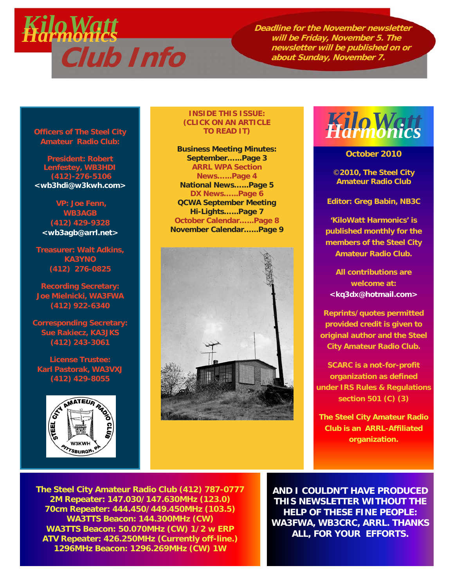<span id="page-1-0"></span>

**Deadline for the November newsletter will be Friday, November 5. The newsletter will be published on or** 

**Officers of The Steel City Amateur Radio Club:** 

**President: Robert Lenfestey, WB3HDI (412)-276-5106 <wb3hdi@w3kwh.com>** 

 **VP: Joe Fenn, WB3AGB (412) 429-9328 <wb3agb@arrl.net>**

**Treasurer: Walt Adkins, KA3YNO (412) 276-0825** 

**Recording Secretary: Joe Mielnicki, WA3FWA (412) 922-6340** 

**Corresponding Secretary: Sue Rakiecz, KA3JKS (412) 243-3061** 

**License Trustee: Karl Pastorak, WA3VXJ (412) 429-8055** 



#### **INSIDE THIS ISSUE: (CLICK ON AN ARTICLE TO READ IT)**

**[Business Meeting Minutes:](#page-2-0) September…...Page 3 [ARRL WPA Section](#page-3-0) News…...Page 4 [National News…...Page 5](#page-4-0) [DX News…...Page 6](#page-5-0) [QCWA September Meeting](#page-6-0) Hi-Lights…...Page 7 [October Calendar…...Page 8](#page-7-0) [November Calendar…...Page 9](#page-8-0)** 





**October 2010** 

©**2010, The Steel City Amateur Radio Club** 

**Editor: Greg Babin, NB3C** 

**'KiloWatt Harmonics' is published monthly for the members of the Steel City Amateur Radio Club.** 

**All contributions are welcome at: <kq3dx@hotmail.com>** 

**Reprints/quotes permitted provided credit is given to original author and the Steel City Amateur Radio Club.** 

**SCARC is a not-for-profit organization as defined under IRS Rules & Regulations section 501 (C) (3)** 

**The Steel City Amateur Radio Club is an ARRL-Affiliated organization.** 

**The Steel City Amateur Radio Club (412) 787-0777 2M Repeater: 147.030/147.630MHz (123.0) 70cm Repeater: 444.450/449.450MHz (103.5) WA3TTS Beacon: 144.300MHz (CW) WA3TTS Beacon: 50.070MHz (CW) 1/2 w ERP ATV Repeater: 426.250MHz (Currently off-line.) 1296MHz Beacon: 1296.269MHz (CW) 1W**

**AND I COULDN'T HAVE PRODUCED THIS NEWSLETTER WITHOUT THE HELP OF THESE FINE PEOPLE: WA3FWA, WB3CRC, ARRL. THANKS ALL, FOR YOUR EFFORTS.**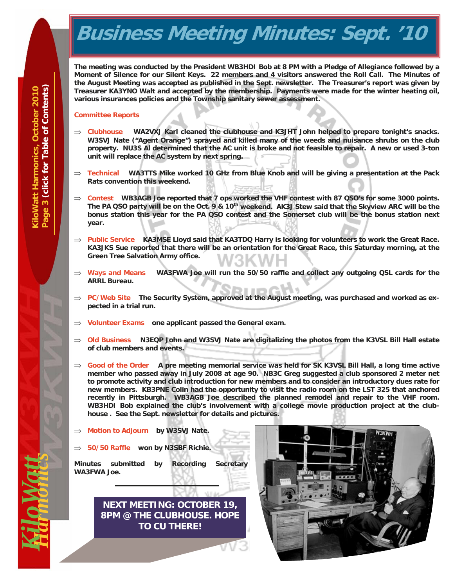## <span id="page-2-0"></span>**Business Meeting Minutes: Sept. '10**

**The meeting was conducted by the President WB3HDI Bob at 8 PM with a Pledge of Allegiance followed by a Moment of Silence for our Silent Keys. 22 members and 4 visitors answered the Roll Call. The Minutes of the August Meeting was accepted as published in the Sept. newsletter. The Treasurer's report was given by Treasurer KA3YNO Walt and accepted by the membership. Payments were made for the winter heating oil, various insurances policies and the Township sanitary sewer assessment.** 

#### **Committee Reports**

- **Clubhouse WA2VXJ Karl cleaned the clubhouse and K3JHT John helped to prepare tonight's snacks. W3SVJ Nate ("Agent Orange") sprayed and killed many of the weeds and nuisance shrubs on the club property. NU3S Al determined that the AC unit is broke and not feasible to repair. A new or used 3-ton unit will replace the AC system by next spring.**
- **Technical WA3TTS Mike worked 10 GHz from Blue Knob and will be giving a presentation at the Pack Rats convention this weekend.**
- ⇒ Contest WB3AGB Joe reported that 7 ops worked the VHF contest with 87 QSO's for some 3000 points. **The PA QSO party will be on the Oct. 9 & 10th weekend. AK3J Stew said that the Skyview ARC will be the bonus station this year for the PA QSO contest and the Somerset club will be the bonus station next year.**
- **Public Service KA3MSE Lloyd said that KA3TDQ Harry is looking for volunteers to work the Great Race. KA3JKS Sue reported that there will be an orientation for the Great Race, this Saturday morning, at the Green Tree Salvation Army office.**
- $\Rightarrow$  Ways and Means WA3FWA Joe will run the 50/50 raffle and collect any outgoing QSL cards for the **ARRL Bureau.**
- ⇒ PC/Web Site The Security System, approved at the August meeting, was purchased and worked as ex**pected in a trial run.**
- **Volunteer Exams one applicant passed the General exam.**
- **Old Business N3EQP John and W3SVJ Nate are digitalizing the photos from the K3VSL Bill Hall estate of club members and events.**
- $\Rightarrow$  Good of the Order A pre meeting memorial service was held for SK K3VSL Bill Hall, a long time active **member who passed away in July 2008 at age 90. NB3C Greg suggested a club sponsored 2 meter net to promote activity and club introduction for new members and to consider an introductory dues rate for new members. KB3PNE Colin had the opportunity to visit the radio room on the LST 325 that anchored recently in Pittsburgh. WB3AGB Joe described the planned remodel and repair to the VHF room. WB3HDI Bob explained the club's involvement with a college movie production project at the clubhouse . See the Sept. newsletter for details and pictures.**
- **Motion to Adjourn by W3SVJ Nate.**
- **50/50 Raffle won by N3SBF Richie.**

**Minutes submitted by Recording Secretary WA3FWA Joe.** 

> **NEXT MEETING: OCTOBER 19, 8PM @ THE CLUBHOUSE. HOPE TO CU THERE!**



**D. V VOU**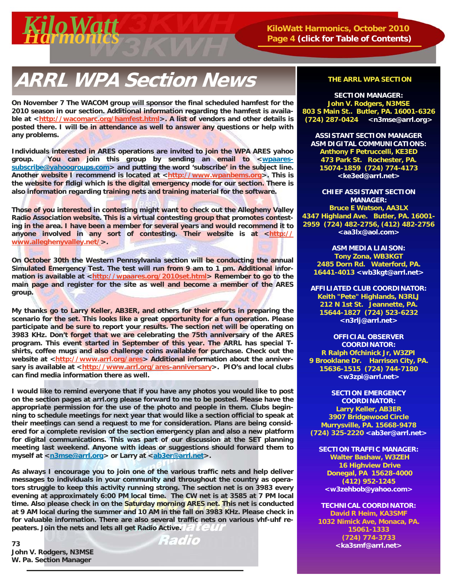<span id="page-3-0"></span>

 **Page 4 [\(click for Table of Contents\)](#page-1-0)**

## **ARRL WPA Section News THE ARRL WPA SECTION**

**On November 7 The WACOM group will sponsor the final scheduled hamfest for the 2010 season in our section. Additional information regarding the hamfest is availa**ble at <http://wacomarc.org/hamfest.html>. A list of vendors and other details is **posted there. I will be in attendance as well to answer any questions or help with any problems.** 

**Individuals interested in ARES operations are invited to join the WPA ARES yahoo**  group. You can join this group by sending an email to <wpaares**subscribe@yahoogroups.com> and putting the word 'subscribe' in the subject line.**  Another website I recommend is located at <http://www.wpanbems.org>. This is **the website for fldigi which is the digital emergency mode for our section. There is also information regarding training nets and training material for the software.** 

**Those of you interested in contesting might want to check out the Allegheny Valley Radio Association website. This is a virtual contesting group that promotes contesting in the area. I have been a member for several years and would recommend it to**  anyone involved in any sort of contesting. Their website is at <http:// **www.alleghenyvalley.net/>.** 

**On October 30th the Western Pennsylvania section will be conducting the annual Simulated Emergency Test. The test will run from 9 am to 1 pm. Additional infor**mation is available at <http://wpaares.org/2010set.html> Remember to go to the **main page and register for the site as well and become a member of the ARES group.** 

**My thanks go to Larry Keller, AB3ER, and others for their efforts in preparing the scenario for the set. This looks like a great opportunity for a fun operation. Please participate and be sure to report your results. The section net will be operating on 3983 KHz. Don't forget that we are celebrating the 75th anniversary of the ARES program. This event started in September of this year. The ARRL has special Tshirts, coffee mugs and also challenge coins available for purchase. Check out the**  website at <http://www.arrl.org/ares> Additional information about the anniversary is available at <http://www.arrl.org/ares-anniversary>. PIO's and local clubs **can find media information there as well.** 

**I would like to remind everyone that if you have any photos you would like to post on the section pages at arrl.org please forward to me to be posted. Please have the appropriate permission for the use of the photo and people in them. Clubs beginning to schedule meetings for next year that would like a section official to speak at their meetings can send a request to me for consideration. Plans are being considered for a complete revision of the section emergency plan and also a new platform for digital communications. This was part of our discussion at the SET planning meeting last weekend. Anyone with ideas or suggestions should forward them to**  myself at <n3mse@arrl.org> or Larry at <ab3er@arrl.net>.

**As always I encourage you to join one of the various traffic nets and help deliver messages to individuals in your community and throughout the country as operators struggle to keep this activity running strong. The section net is on 3983 every evening at approximately 6:00 PM local time. The CW net is at 3585 at 7 PM local time. Also please check in on the Saturday morning ARES net. This net is conducted at 9 AM local during the summer and 10 AM in the fall on 3983 KHz. Please check in for valuable information. There are also several traffic nets on various vhf-uhf repeaters. Join the nets and lets all get Radio Active.** 

**73 John V. Rodgers, N3MSE W. Pa. Section Manager** 

**REGIO** 

**SECTION MANAGER: John V. Rodgers, N3MSE 803 S Main St.. Butler, PA. 16001-6326 (724) 287-0424 <n3mse@arrl.org>**

**ASSISTANT SECTION MANAGER ASM DIGITAL COMMUNICATIONS: Anthony F Petruccelli, KE3ED 473 Park St. Rochester, PA. 15074-1859 (724) 774-4173 <ke3ed@arrl.net>** 

**CHIEF ASSISTANT SECTION MANAGER: Bruce E Watson, AA3LX 4347 Highland Ave. Butler, PA. 16001- 2959 (724) 482-2756, (412) 482-2756 <aa3lx@aol.com>** 

**ASM MEDIA LIAISON: Tony Zona, WB3KGT 2485 Dorn Rd. Waterford, PA. 16441-4013 <wb3kgt@arrl.net>**

**AFFILIATED CLUB COORDINATOR: Keith "Pete" Highlands, N3RLJ 212 N 1st St. Jeannette, PA. 15644-1827 (724) 523-6232 <n3rlj@arrl.net>** 

**OFFICIAL OBSERVER COORDINATOR: R Ralph Ofchinick Jr, W3ZPI 9 Brooklane Dr. Harrison City, PA. 15636-1515 (724) 744-7180 <w3zpi@arrl.net>** 

**SECTION EMERGENCY COORDINATOR: Larry Keller, AB3ER 3907 Bridgewood Circle Murrysville, PA. 15668-9478 (724) 325-2220 <ab3er@arrl.net>** 

**SECTION TRAFFIC MANAGER: Walter Bashaw, W3ZEH 16 Highview Drive Donegal, PA 15628-4000 (412) 952-1245 <w3zehbob@yahoo.com>** 

**TECHNICAL COORDINATOR: David R Heim, KA3SMF 1032 Nimick Ave, Monaca, PA. 15061-1333 (724) 774-3733 <ka3smf@arrl.net>**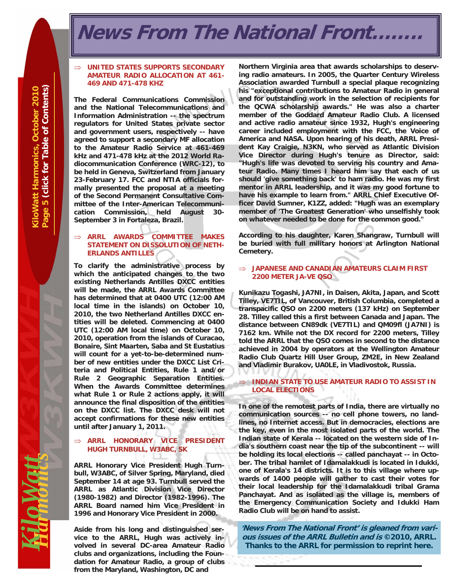### <span id="page-4-0"></span>**News From The National Front...**

#### **UNITED STATES SUPPORTS SECONDARY AMATEUR RADIO ALLOCATION AT 461- 469 AND 471-478 KHZ**

**The Federal Communications Commission and the National Telecommunications and Information Administration -- the spectrum regulators for United States private sector and government users, respectively -- have agreed to support a secondary MF allocation to the Amateur Radio Service at 461-469 kHz and 471-478 kHz at the 2012 World Radiocommunication Conference (WRC-12), to be held in Geneva, Switzerland from January 23-February 17. FCC and NTIA officials formally presented the proposal at a meeting of the Second Permanent Consultative Committee of the Inter-American Telecommunication Commission, held August 30- September 3 in Fortaleza, Brazil.** 

#### **ARRL AWARDS COMMITTEE MAKES STATEMENT ON DISSOLUTION OF NETH-ERLANDS ANTILLES**

**To clarify the administrative process by which the anticipated changes to the two existing Netherlands Antilles DXCC entities will be made, the ARRL Awards Committee has determined that at 0400 UTC (12:00 AM local time in the islands) on October 10, 2010, the two Netherland Antilles DXCC entities will be deleted. Commencing at 0400 UTC (12:00 AM local time) on October 10, 2010, operation from the islands of Curacao, Bonaire, Sint Maarten, Saba and St Eustatius will count for a yet-to-be-determined number of new entities under the DXCC List Criteria and Political Entities, Rule 1 and/or Rule 2 Geographic Separation Entities. When the Awards Committee determines what Rule 1 or Rule 2 actions apply, it will announce the final disposition of the entities on the DXCC list. The DXCC desk will not accept confirmations for these new entities until after January 1, 2011.** 

#### **ARRL HONORARY VICE PRESIDENT HUGH TURNBULL, W3ABC, SK**

**ARRL Honorary Vice President Hugh Turnbull, W3ABC, of Silver Spring, Maryland, died September 14 at age 93. Turnbull served the ARRL as Atlantic Division Vice Director (1980-1982) and Director (1982-1996). The ARRL Board named him Vice President in 1996 and Honorary Vice President in 2000.** 

**Aside from his long and distinguished service to the ARRL, Hugh was actively involved in several DC-area Amateur Radio clubs and organizations, including the Foundation for Amateur Radio, a group of clubs from the Maryland, Washington, DC and** 

**Northern Virginia area that awards scholarships to deserving radio amateurs. In 2005, the Quarter Century Wireless Association awarded Turnbull a special plaque recognizing his "exceptional contributions to Amateur Radio in general and for outstanding work in the selection of recipients for the QCWA scholarship awards." He was also a charter member of the Goddard Amateur Radio Club. A licensed and active radio amateur since 1932, Hugh's engineering career included employment with the FCC, the Voice of America and NASA. Upon hearing of his death, ARRL President Kay Craigie, N3KN, who served as Atlantic Division Vice Director during Hugh's tenure as Director, said: "Hugh's life was devoted to serving his country and Amateur Radio. Many times I heard him say that each of us should 'give something back' to ham radio. He was my first mentor in ARRL leadership, and it was my good fortune to have his example to learn from." ARRL Chief Executive Officer David Sumner, K1ZZ, added: "Hugh was an exemplary member of 'The Greatest Generation' who unselfishly took on whatever needed to be done for the common good."** 

**According to his daughter, Karen Shangraw, Turnbull will be buried with full military honors at Arlington National Cemetery.** 

#### **JAPANESE AND CANADIAN AMATEURS CLAIM FIRST 2200 METER JA-VE QSO**

**Kunikazu Togashi, JA7NI, in Daisen, Akita, Japan, and Scott Tilley, VE7TIL, of Vancouver, British Columbia, completed a transpacific QSO on 2200 meters (137 kHz) on September 28. Tilley called this a first between Canada and Japan. The distance between CN89dk (VE7TIL) and QM09fl (JA7NI) is 7162 km. While not the DX record for 2200 meters, Tilley told the ARRL that the QSO comes in second to the distance achieved in 2004 by operators at the Wellington Amateur Radio Club Quartz Hill User Group, ZM2E, in New Zealand and Vladimir Burakov, UA0LE, in Vladivostok, Russia.** 

#### **INDIAN STATE TO USE AMATEUR RADIO TO ASSIST IN LOCAL ELECTIONS**

**In one of the remotest parts of India, there are virtually no communication sources -- no cell phone towers, no landlines, no Internet access. But in democracies, elections are the key, even in the most isolated parts of the world. The Indian state of Kerala -- located on the western side of India's southern coast near the tip of the subcontinent -- will be holding its local elections -- called panchayat -- in October. The tribal hamlet of Idamalakkudi is located in Idukki, one of Kerala's 14 districts. It is to this village where upwards of 1400 people will gather to cast their votes for their local leadership for the Idamalakkudi tribal Grama Panchayat. And as isolated as the village is, members of the Emergency Communication Society and Idukki Ham Radio Club will be on hand to assist.** 

**'News From The National Front' is gleaned from various issues of the ARRL Bulletin and is ©2010, ARRL. Thanks to the ARRL for permission to reprint here.** 

**Magi**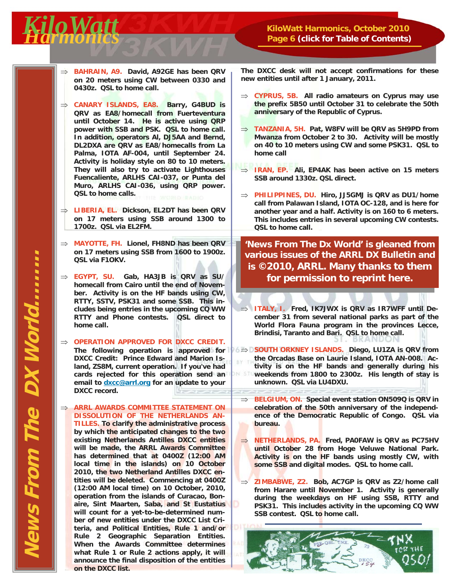#### <span id="page-5-0"></span>*Harmonics KiloWatt* **KiloWatt Harmonics, October 2010 Page 6 [\(click for Table of Contents\)](#page-1-0)**

- **BAHRAIN, A9. David, A92GE has been QRV on 20 meters using CW between 0330 and 0430z. QSL to home call.**
- **CANARY ISLANDS, EA8. Barry, G4BUD is QRV as EA8/homecall from Fuerteventura until October 14. He is active using QRP power with SSB and PSK. QSL to home call. In addition, operators Al, DJ5AA and Bernd, DL2DXA are QRV as EA8/homecalls from La Palma, IOTA AF-004, until September 24. Activity is holiday style on 80 to 10 meters. They will also try to activate Lighthouses Fuencaliente, ARLHS CAI-037, or Punta del Muro, ARLHS CAI-036, using QRP power. QSL to home calls.**
- **LIBERIA, EL. Dickson, EL2DT has been QRV on 17 meters using SSB around 1300 to 1700z. QSL via EL2FM.**
- **MAYOTTE, FH. Lionel, FH8ND has been QRV on 17 meters using SSB from 1600 to 1900z. QSL via F1OKV.**
- **EGYPT, SU. Gab, HA3JB is QRV as SU/ homecall from Cairo until the end of November. Activity is on the HF bands using CW, RTTY, SSTV, PSK31 and some SSB. This includes being entries in the upcoming CQ WW RTTY and Phone contests. QSL direct to home call.**
- $\Rightarrow$  **OPERATION APPROVED FOR DXCC CREDIT. DXCC Credit: Prince Edward and Marion Island, ZS8M, current operation. If you've had cards rejected for this operation send an email to dxcc@arrl.org for an update to your DXCC record.**

 **ARRL AWARDS COMMITTEE STATEMENT ON DISSOLUTION OF THE NETHERLANDS AN-TILLES. To clarify the administrative process by which the anticipated changes to the two existing Netherlands Antilles DXCC entities will be made, the ARRL Awards Committee has determined that at 0400Z (12:00 AM local time in the islands) on 10 October 2010, the two Netherland Antilles DXCC entities will be deleted. Commencing at 0400Z (12:00 AM local time) on 10 October, 2010, operation from the islands of Curacao, Bonaire, Sint Maarten, Saba, and St Eustatius will count for a yet-to-be-determined number of new entities under the DXCC List Criteria, and Political Entities, Rule 1 and/or Rule 2 Geographic Separation Entities. When the Awards Committee determines what Rule 1 or Rule 2 actions apply, it will announce the final disposition of the entities on the DXCC list.** 

**The DXCC desk will not accept confirmations for these new entities until after 1 January, 2011.** 

- **CYPRUS, 5B. All radio amateurs on Cyprus may use the prefix 5B50 until October 31 to celebrate the 50th anniversary of the Republic of Cyprus.**
- **TANZANIA, 5H. Pat, W8FV will be QRV as 5H9PD from Mwanza from October 2 to 30. Activity will be mostly on 40 to 10 meters using CW and some PSK31. QSL to home call**
- **IRAN, EP. Ali, EP4AK has been active on 15 meters SSB around 1330z. QSL direct.**
- **PHILIPPINES, DU. Hiro, JJ5GMJ is QRV as DU1/home call from Palawan Island, IOTA OC-128, and is here for another year and a half. Activity is on 160 to 6 meters. This includes entries in several upcoming CW contests. QSL to home call.**

**'News From The Dx World' is gleaned from various issues of the ARRL DX Bulletin and is ©2010, ARRL. Many thanks to them for permission to reprint here.**

⇒ **ITALY, I.** Fred, IK7JWX is QRV as IR7WFF until De**cember 31 from several national parks as part of the World Flora Fauna program in the provinces Lecce, Brindisi, Taranto and Bari. QSL to home call.** 

The following operation is approved for **DESOUTH ORKNEY ISLANDS.** Diego, LU1ZA is QRV from **the Orcadas Base on Laurie Island, IOTA AN-008. Activity is on the HF bands and generally during his weekends from 1800 to 2300z. His length of stay is unknown. QSL via LU4DXU.** 

- **BELGIUM, ON. Special event station ON509Q is QRV in celebration of the 50th anniversary of the independence of the Democratic Republic of Congo. QSL via bureau.**
- **NETHERLANDS, PA. Fred, PA0FAW is QRV as PC75HV until October 28 from Hoge Veluwe National Park. Activity is on the HF bands using mostly CW, with some SSB and digital modes. QSL to home call.**
- **ZIMBABWE, Z2. Bob, AC7GP is QRV as Z2/home call from Harare until November 1. Activity is generally during the weekdays on HF using SSB, RTTY and PSK31. This includes activity in the upcoming CQ WW SSB contest. QSL to home call.**

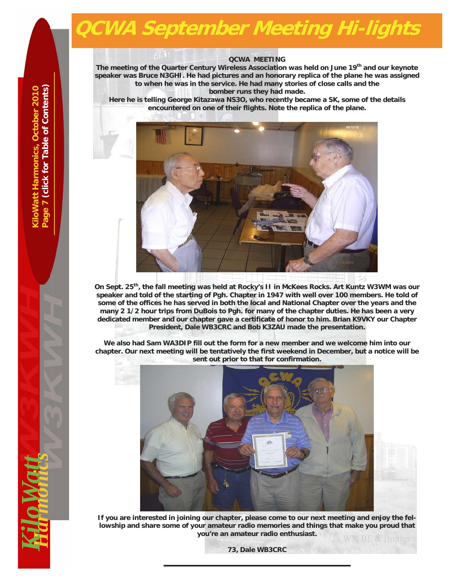## <span id="page-6-0"></span>**QCWA September Meeting Hi-lights**

#### **QCWA MEETING**

The meeting of the Quarter Century Wireless Association was held on June 19<sup>th</sup> and our keynote **speaker was Bruce N3GHI. He had pictures and an honorary replica of the plane he was assigned to when he was in the service. He had many stories of close calls and the bomber runs they had made.** 

**Here he is telling George Kitazawa NS3O, who recently became a SK, some of the details encountered on one of their flights. Note the replica of the plane.** 



**On Sept. 25th, the fall meeting was held at Rocky's II in McKees Rocks. Art Kuntz W3WM was our speaker and told of the starting of Pgh. Chapter in 1947 with well over 100 members. He told of some of the offices he has served in both the local and National Chapter over the years and the many 2 1/2 hour trips from DuBois to Pgh. for many of the chapter duties. He has been a very dedicated member and our chapter gave a certificate of honor to him. Brian K9VKY our Chapter President, Dale WB3CRC and Bob K3ZAU made the presentation.** 

**We also had Sam WA3DIP fill out the form for a new member and we welcome him into our chapter. Our next meeting will be tentatively the first weekend in December, but a notice will be sent out prior to that for confirmation.** 



**If you are interested in joining our chapter, please come to our next meeting and enjoy the fellowship and share some of your amateur radio memories and things that make you proud that you're an amateur radio enthusiast.** 

**73, Dale WB3CRC** 

 $\frac{1}{2}$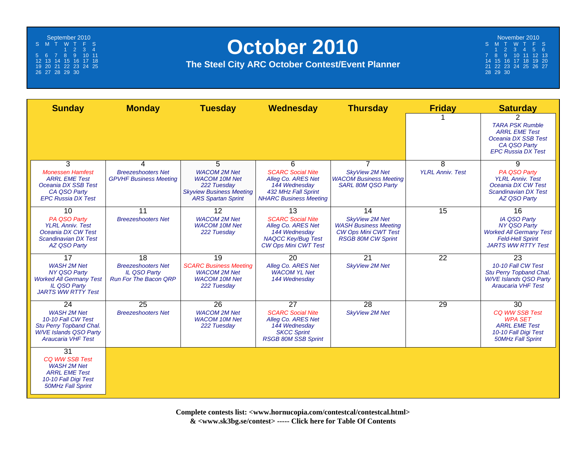<span id="page-7-0"></span>September 2010 S MT WT F S1234 5 6 7 8 9 10 11 12 13 14 15 16 17 18 19 20 21 22 23 24 25 26 27 28 29 30

## **October 2010**

**The Steel City ARC October Contest/Event Planner**

November 2010 S MT WT F S 123456 7 8 9 10 11 12 13 14 15 16 17 18 19 20 21 22 23 24 25 26 27 28 29 30

| <b>Sunday</b>                                                                                                                     | <b>Monday</b>                                                                    | <b>Tuesday</b>                                                                                                             | Wednesday                                                                                                                   | <b>Thursday</b>                                                                                                   | <b>Friday</b>           | <b>Saturday</b>                                                                                                                      |
|-----------------------------------------------------------------------------------------------------------------------------------|----------------------------------------------------------------------------------|----------------------------------------------------------------------------------------------------------------------------|-----------------------------------------------------------------------------------------------------------------------------|-------------------------------------------------------------------------------------------------------------------|-------------------------|--------------------------------------------------------------------------------------------------------------------------------------|
|                                                                                                                                   |                                                                                  |                                                                                                                            |                                                                                                                             |                                                                                                                   |                         | 2<br><b>TARA PSK Rumble</b><br><b>ARRL EME Test</b><br>Oceania DX SSB Test<br>CA QSO Party<br><b>EPC Russia DX Test</b>              |
| 3                                                                                                                                 | 4                                                                                | 5                                                                                                                          | 6                                                                                                                           | $\overline{7}$                                                                                                    | 8                       | 9                                                                                                                                    |
| <b>Monessen Hamfest</b><br><b>ARRL EME Test</b><br>Oceania DX SSB Test<br>CA QSO Party<br><b>EPC Russia DX Test</b>               | <b>Breezeshooters Net</b><br><b>GPVHF Business Meeting</b>                       | <b>WACOM 2M Net</b><br><b>WACOM 10M Net</b><br>222 Tuesday<br><b>Skyview Business Meeting</b><br><b>ARS Spartan Sprint</b> | <b>SCARC Social Nite</b><br>Allea Co. ARES Net<br>144 Wednesday<br>432 MHz Fall Sprint<br><b>NHARC Business Meeting</b>     | <b>SkyView 2M Net</b><br><b>WACOM Business Meeting</b><br>SARL 80M QSO Party                                      | <b>YLRL Anniv. Test</b> | PA QSO Party<br><b>YLRL Anniv. Test</b><br>Oceania DX CW Test<br><b>Scandinavian DX Test</b><br><b>AZ QSO Party</b>                  |
| 10                                                                                                                                | 11                                                                               | 12                                                                                                                         | 13                                                                                                                          | 14                                                                                                                | 15                      | 16                                                                                                                                   |
| PA QSO Party<br><b>YLRL Anniv. Test</b><br>Oceania DX CW Test<br><b>Scandinavian DX Test</b><br><b>AZ QSO Party</b>               | <b>Breezeshooters Net</b>                                                        | <b>WACOM 2M Net</b><br><b>WACOM 10M Net</b><br>222 Tuesday                                                                 | <b>SCARC Social Nite</b><br>Alleg Co. ARES Net<br>144 Wednesday<br><b>NAQCC Key/Bug Test</b><br><b>CW Ops Mini CWT Test</b> | <b>SkvView 2M Net</b><br><b>WASH Business Meeting</b><br><b>CW Ops Mini CWT Test</b><br><b>RSGB 80M CW Sprint</b> |                         | <b>IA QSO Party</b><br><b>NY QSO Party</b><br><b>Worked All Germany Test</b><br><b>Feld-Hell Sprint</b><br><b>JARTS WW RTTY Test</b> |
| 17                                                                                                                                | 18                                                                               | 19                                                                                                                         | 20                                                                                                                          | $\overline{21}$                                                                                                   | 22                      | 23                                                                                                                                   |
| <b>WASH 2M Net</b><br><b>NY QSO Party</b><br><b>Worked All Germany Test</b><br><b>IL QSO Party</b><br><b>JARTS WW RTTY Test</b>   | <b>Breezeshooters Net</b><br><b>IL QSO Party</b><br><b>Run For The Bacon ORP</b> | <b>SCARC Business Meeting</b><br><b>WACOM 2M Net</b><br><b>WACOM 10M Net</b><br>222 Tuesday                                | Alleg Co. ARES Net<br><b>WACOM YL Net</b><br>144 Wednesday                                                                  | <b>SkyView 2M Net</b>                                                                                             |                         | 10-10 Fall CW Test<br>Stu Perry Topband Chal.<br><b>W/VE Islands QSO Party</b><br><b>Araucaria VHF Test</b>                          |
| 24                                                                                                                                | 25                                                                               | 26                                                                                                                         | 27                                                                                                                          | 28                                                                                                                | 29                      | 30                                                                                                                                   |
| <b>WASH 2M Net</b><br>10-10 Fall CW Test<br>Stu Perry Topband Chal.<br><b>W/VE Islands QSO Party</b><br><b>Araucaria VHF Test</b> | <b>Breezeshooters Net</b>                                                        | <b>WACOM 2M Net</b><br><b>WACOM 10M Net</b><br>222 Tuesday                                                                 | <b>SCARC Social Nite</b><br>Alleg Co. ARES Net<br>144 Wednesday<br><b>SKCC Sprint</b><br><b>RSGB 80M SSB Sprint</b>         | <b>SkyView 2M Net</b>                                                                                             |                         | <b>CQ WW SSB Test</b><br><b>WPA SET</b><br><b>ARRL EME Test</b><br>10-10 Fall Digi Test<br><b>50MHz Fall Sprint</b>                  |
| 31<br>CQ WW SSB Test<br><b>WASH 2M Net</b><br><b>ARRL EME Test</b><br>10-10 Fall Digi Test<br><b>50MHz Fall Sprint</b>            |                                                                                  |                                                                                                                            |                                                                                                                             |                                                                                                                   |                         |                                                                                                                                      |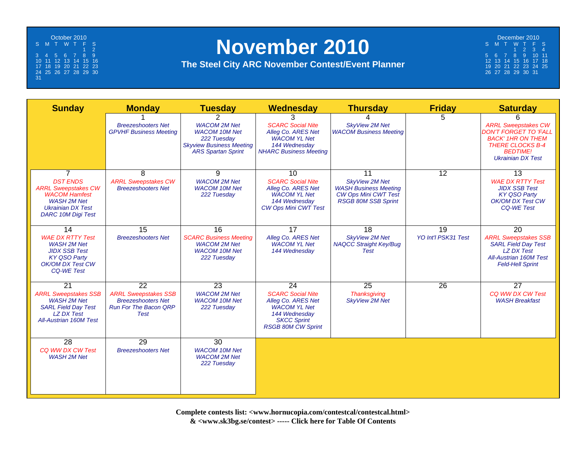<span id="page-8-0"></span>October 2010 S MT WT F S 1 23456789 10 11 12 13 14 15 16 17 18 19 20 21 22 23 24 25 26 27 28 29 30 31

## **November 2010**

#### **The Steel City ARC November Contest/Event Planner**

| December 2010 |  |                      |  |                             |  |    |  |
|---------------|--|----------------------|--|-----------------------------|--|----|--|
|               |  | S M T W T F          |  |                             |  | S. |  |
|               |  |                      |  | $1 \quad 2 \quad 3 \quad 4$ |  |    |  |
|               |  | 5 6 7 8 9 10 11      |  |                             |  |    |  |
|               |  | 12 13 14 15 16 17 18 |  |                             |  |    |  |
|               |  | 19 20 21 22 23 24 25 |  |                             |  |    |  |
|               |  | 26 27 28 29 30 31    |  |                             |  |    |  |

| <b>Sunday</b>                                                                                                                                                          | <b>Monday</b>                                                                                          | <b>Tuesday</b>                                                                                                                              | <b>Wednesday</b>                                                                                                                                | <b>Thursday</b>                                                                                                          | <b>Friday</b>                          | <b>Saturday</b>                                                                                                                                                       |
|------------------------------------------------------------------------------------------------------------------------------------------------------------------------|--------------------------------------------------------------------------------------------------------|---------------------------------------------------------------------------------------------------------------------------------------------|-------------------------------------------------------------------------------------------------------------------------------------------------|--------------------------------------------------------------------------------------------------------------------------|----------------------------------------|-----------------------------------------------------------------------------------------------------------------------------------------------------------------------|
|                                                                                                                                                                        | <b>Breezeshooters Net</b><br><b>GPVHF Business Meeting</b>                                             | $\mathcal{P}$<br><b>WACOM 2M Net</b><br><b>WACOM 10M Net</b><br>222 Tuesday<br><b>Skyview Business Meeting</b><br><b>ARS Spartan Sprint</b> | 3<br><b>SCARC Social Nite</b><br>Alleg Co. ARES Net<br><b>WACOM YL Net</b><br>144 Wednesdav<br><b>NHARC Business Meeting</b>                    | 4<br><b>SkyView 2M Net</b><br><b>WACOM Business Meeting</b>                                                              | 5                                      | 6<br><b>ARRL Sweepstakes CW</b><br><b>DON'T FORGET TO 'FALL</b><br><b>BACK' 1HR ON THEM</b><br><b>THERE CLOCKS B-4</b><br><b>BEDTIME!</b><br><b>Ukrainian DX Test</b> |
| $\overline{7}$<br><b>DST FNDS</b><br><b>ARRL Sweepstakes CW</b><br><b>WACOM Hamfest</b><br><b>WASH 2M Net</b><br><b>Ukrainian DX Test</b><br><b>DARC 10M Digi Test</b> | 8<br><b>ARRL Sweepstakes CW</b><br><b>Breezeshooters Net</b>                                           | 9<br><b>WACOM 2M Net</b><br><b>WACOM 10M Net</b><br>222 Tuesday                                                                             | 10<br><b>SCARC Social Nite</b><br>Alleg Co. ARES Net<br><b>WACOM YL Net</b><br>144 Wednesday<br><b>CW Ops Mini CWT Test</b>                     | 11<br><b>SkvView 2M Net</b><br><b>WASH Business Meeting</b><br><b>CW Ops Mini CWT Test</b><br><b>RSGB 80M SSB Sprint</b> | $\overline{12}$                        | 13<br><b>WAE DX RTTY Test</b><br><b>JIDX SSB Test</b><br><b>KY QSO Party</b><br><b>OK/OM DX Test CW</b><br><b>CO-WE Test</b>                                          |
| 14<br><b>WAE DX RTTY Test</b><br><b>WASH 2M Net</b><br><b>JIDX SSB Test</b><br><b>KY QSO Party</b><br>OK/OM DX Test CW<br><b>CO-WE Test</b>                            | 15<br><b>Breezeshooters Net</b>                                                                        | $\overline{16}$<br><b>SCARC Business Meeting</b><br><b>WACOM 2M Net</b><br><b>WACOM 10M Net</b><br>222 Tuesday                              | 17<br>Alleg Co. ARES Net<br><b>WACOM YL Net</b><br>144 Wednesday                                                                                | $\overline{18}$<br><b>SkyView 2M Net</b><br><b>NAQCC Straight Key/Bug</b><br><b>Test</b>                                 | $\overline{19}$<br>YO Int'l PSK31 Test | $\overline{20}$<br><b>ARRL Sweepstakes SSB</b><br><b>SARL Field Day Test</b><br><b>LZ DX Test</b><br><b>All-Austrian 160M Test</b><br><b>Feld-Hell Sprint</b>         |
| 21<br><b>ARRL Sweepstakes SSB</b><br><b>WASH 2M Net</b><br><b>SARL Field Day Test</b><br><b>LZ DX Test</b><br><b>All-Austrian 160M Test</b>                            | 22<br><b>ARRL Sweepstakes SSB</b><br><b>Breezeshooters Net</b><br><b>Run For The Bacon QRP</b><br>Test | $\overline{23}$<br><b>WACOM 2M Net</b><br><b>WACOM 10M Net</b><br>222 Tuesday                                                               | 24<br><b>SCARC Social Nite</b><br>Alleg Co. ARES Net<br><b>WACOM YL Net</b><br>144 Wednesday<br><b>SKCC Sprint</b><br><b>RSGB 80M CW Sprint</b> | 25<br><b>Thanksgiving</b><br><b>SkyView 2M Net</b>                                                                       | $\overline{26}$                        | $\overline{27}$<br>CQ WW DX CW Test<br><b>WASH Breakfast</b>                                                                                                          |
| 28<br>CO WW DX CW Test<br><b>WASH 2M Net</b>                                                                                                                           | 29<br><b>Breezeshooters Net</b>                                                                        | 30<br><b>WACOM 10M Net</b><br><b>WACOM 2M Net</b><br>222 Tuesday                                                                            |                                                                                                                                                 |                                                                                                                          |                                        |                                                                                                                                                                       |

**Complete contests list: <www.hornucopia.com/contestcal/contestcal.html> & <www.sk3bg.se/contest> ----- [Click here for Table Of Contents](#page-1-0)**